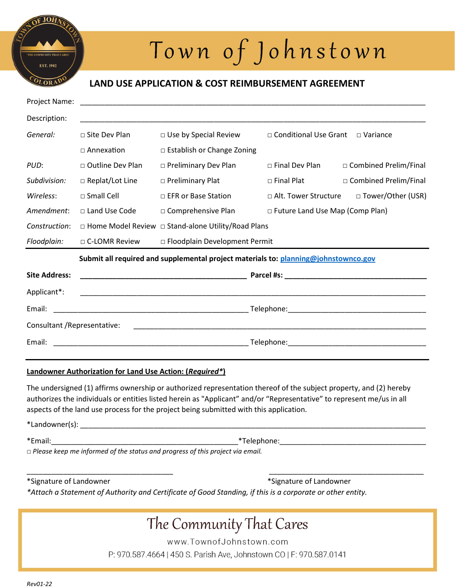

# Town of Johnstown

### LAND USE APPLICATION & COST REIMBURSEMENT AGREEMENT

| Project Name:                |                                                                                     |                                 |                                            |                         |  |
|------------------------------|-------------------------------------------------------------------------------------|---------------------------------|--------------------------------------------|-------------------------|--|
| Description:                 |                                                                                     |                                 |                                            |                         |  |
| General:                     | □ Site Dev Plan                                                                     | $\Box$ Use by Special Review    | □ Conditional Use Grant                    | $\Box$ Variance         |  |
|                              | $\Box$ Annexation                                                                   | □ Establish or Change Zoning    |                                            |                         |  |
| PUD:                         | $\Box$ Outline Dev Plan                                                             | $\Box$ Preliminary Dev Plan     | $\Box$ Final Dev Plan                      | □ Combined Prelim/Final |  |
| Subdivision:                 | $\Box$ Replat/Lot Line                                                              | $\Box$ Preliminary Plat         | $\Box$ Final Plat                          | □ Combined Prelim/Final |  |
| Wireless:                    | $\sqcap$ Small Cell                                                                 | $\Box$ EFR or Base Station      | □ Alt. Tower Structure □ Tower/Other (USR) |                         |  |
| Amendment:                   | □ Land Use Code                                                                     | $\Box$ Comprehensive Plan       | $\Box$ Future Land Use Map (Comp Plan)     |                         |  |
| Construction:                | □ Home Model Review □ Stand-alone Utility/Road Plans                                |                                 |                                            |                         |  |
| Floodplain:                  | □ C-LOMR Review                                                                     | □ Floodplain Development Permit |                                            |                         |  |
|                              | Submit all required and supplemental project materials to: planning@johnstownco.gov |                                 |                                            |                         |  |
| <b>Site Address:</b>         |                                                                                     |                                 |                                            |                         |  |
| Applicant*:                  |                                                                                     |                                 |                                            |                         |  |
| Email:                       |                                                                                     |                                 |                                            |                         |  |
| Consultant / Representative: |                                                                                     |                                 |                                            |                         |  |
| Email:                       |                                                                                     |                                 |                                            |                         |  |

### Landowner Authorization for Land Use Action: (Required\*)

The undersigned (1) affirms ownership or authorized representation thereof of the subject property, and (2) hereby authorizes the individuals or entities listed herein as "Applicant" and/or "Representative" to represent me/us in all aspects of the land use process for the project being submitted with this application.

\*Landowner(s): \_\_\_\_\_\_\_\_\_\_\_\_\_\_\_\_\_\_\_\_\_\_\_\_\_\_\_\_\_\_\_\_\_\_\_\_\_\_\_\_\_\_\_\_\_\_\_\_\_\_\_\_\_\_\_\_\_\_\_\_\_\_\_\_\_\_\_\_\_\_\_\_\_\_\_\_\_\_\_\_\_\_\_\_\_  $\texttt{*Femail:}\begin{equation*} \begin{equation*} \begin{bmatrix} \texttt{m} & \texttt{m} \\ \texttt{m} & \texttt{m} \end{bmatrix} \end{equation*} \end{equation*} \begin{equation*} \begin{bmatrix} \texttt{m} & \texttt{m} \\ \texttt{m} & \texttt{m} \end{bmatrix} \end{equation*} \begin{equation*} \begin{bmatrix} \texttt{m} & \texttt{m} \\ \texttt{m} & \texttt{m} \end{bmatrix} \end{equation*} \begin{equation*} \begin{bmatrix} \texttt{m} & \texttt{m} \\ \texttt{m} & \texttt{m$ 

□ Please keep me informed of the status and progress of this project via email.

\*Signature of Landowner \*Signature of Landowner

\*Attach a Statement of Authority and Certificate of Good Standing, if this is a corporate or other entity.

## The Community That Cares www.TownofJohnstown.com P: 970.587.4664 | 450 S. Parish Ave, Johnstown CO | F: 970.587.0141

\_\_\_\_\_\_\_\_\_\_\_\_\_\_\_\_\_\_\_\_\_\_\_\_\_\_\_\_\_\_\_\_\_\_\_\_ \_\_\_\_\_\_\_\_\_\_\_\_\_\_\_\_\_\_\_\_\_\_\_\_\_\_\_\_\_\_\_\_\_\_\_\_\_\_